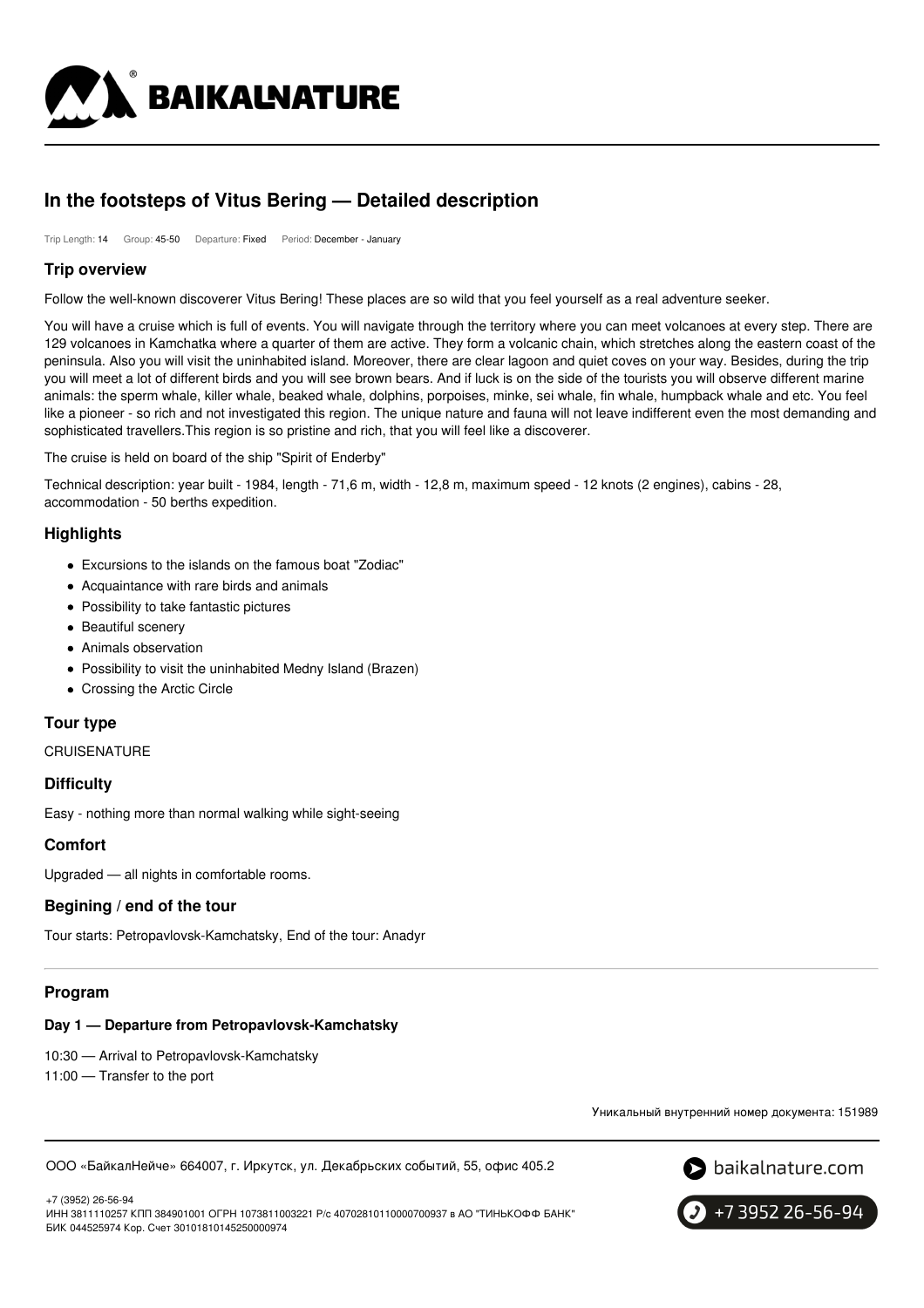

# **In the footsteps of Vitus Bering — Detailed description**

Trip Length: 14 Group: 45-50 Departure: Fixed Period: December - January

### **Trip overview**

Follow the well-known discoverer Vitus Bering! These places are so wild that you feel yourself as a real adventure seeker.

You will have a cruise which is full of events. You will navigate through the territory where you can meet volcanoes at every step. There are 129 volcanoes in Kamchatka where a quarter of them are active. They form a volcanic chain, which stretches along the eastern coast of the peninsula. Also you will visit the uninhabited island. Moreover, there are clear lagoon and quiet coves on your way. Besides, during the trip you will meet a lot of different birds and you will see brown bears. And if luck is on the side of the tourists you will observe different marine animals: the sperm whale, killer whale, beaked whale, dolphins, porpoises, minke, sei whale, fin whale, humpback whale and etc. You feel like a pioneer - so rich and not investigated this region. The unique nature and fauna will not leave indifferent even the most demanding and sophisticated travellers.This region is so pristine and rich, that you will feel like a discoverer.

The cruise is held on board of the ship "Spirit of Enderby"

Technical description: year built - 1984, length - 71,6 m, width - 12,8 m, maximum speed - 12 knots (2 engines), cabins - 28, accommodation - 50 berths expedition.

# **Highlights**

- Excursions to the islands on the famous boat "Zodiac"
- Acquaintance with rare birds and animals
- Possibility to take fantastic pictures
- Beautiful scenery
- Animals observation
- Possibility to visit the uninhabited Medny Island (Brazen)
- Crossing the Arctic Circle

# **Tour type**

CRUISENATURE

### **Difficulty**

Easy - nothing more than normal walking while sight-seeing

### **Comfort**

Upgraded — all nights in comfortable rooms.

# **Begining / end of the tour**

Tour starts: Petropavlovsk-Kamchatsky, End of the tour: Anadyr

# **Program**

# **Day 1 — Departure from Petropavlovsk-Kamchatsky**

10:30 — Arrival to Petropavlovsk-Kamchatsky

11:00 — Transfer to the port

Уникальный внутренний номер документа: 151989

ООО «БайкалНейче» 664007, г. Иркутск, ул. Декабрьских событий, 55, офис 405.2



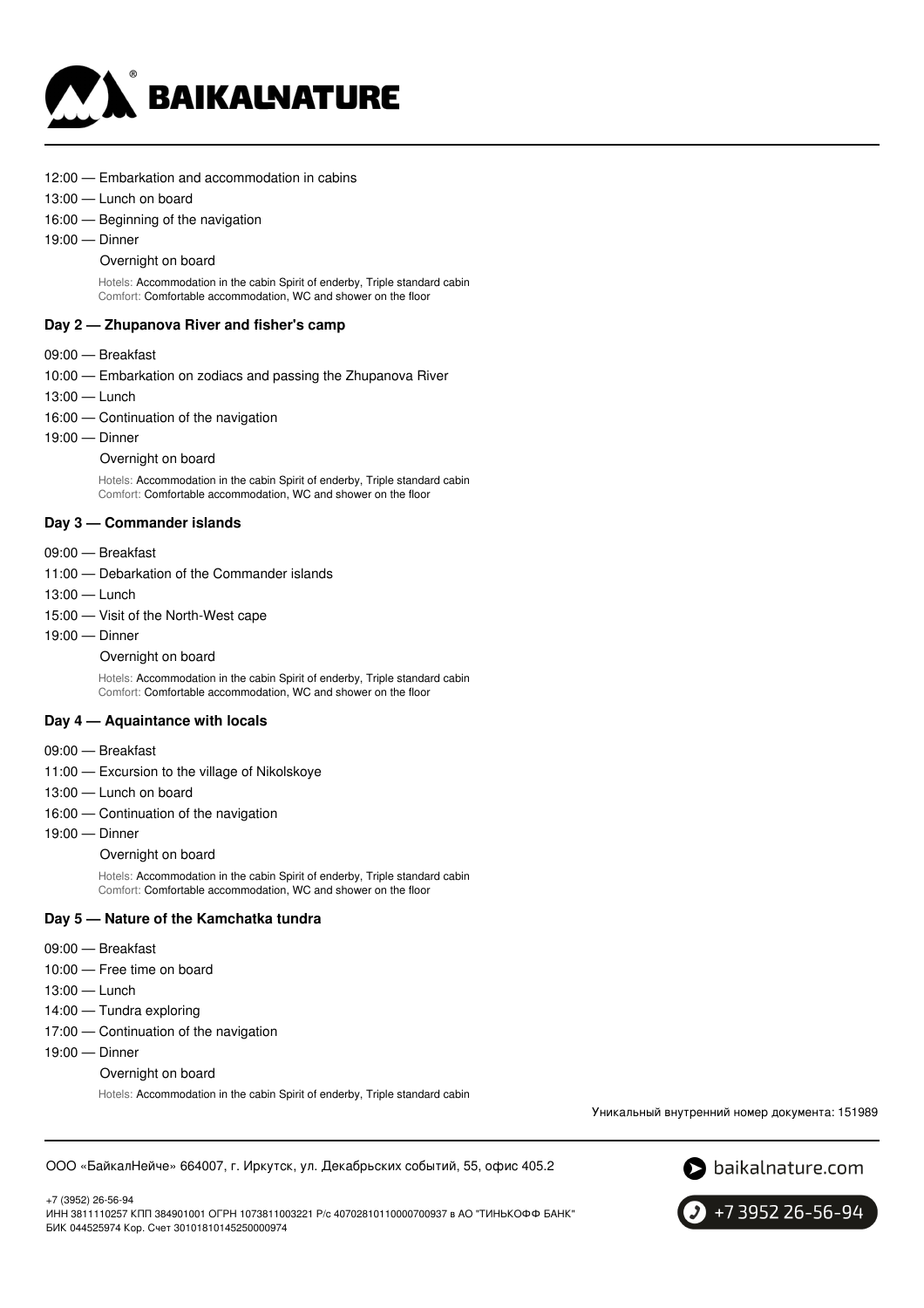

- 12:00 Embarkation and accommodation in cabins
- 13:00 Lunch on board
- 16:00 Beginning of the navigation
- 19:00 Dinner

#### Overnight on board

Hotels: Accommodation in the cabin Spirit of enderby, Triple standard cabin Comfort: Comfortable accommodation, WC and shower on the floor

### **Day 2 — Zhupanova River and fisher's camp**

- 09:00 Breakfast
- 10:00 Embarkation on zodiacs and passing the Zhupanova River
- 13:00 Lunch
- 16:00 Continuation of the navigation
- 19:00 Dinner
	- Overnight on board

Hotels: Accommodation in the cabin Spirit of enderby, Triple standard cabin Comfort: Comfortable accommodation, WC and shower on the floor

### **Day 3 — Commander islands**

- 09:00 Breakfast
- 11:00 Debarkation of the Commander islands
- 
- 13:00 Lunch
- 15:00 Visit of the North-West cape
- 19:00 Dinner

#### Overnight on board

Hotels: Accommodation in the cabin Spirit of enderby, Triple standard cabin Comfort: Comfortable accommodation, WC and shower on the floor

### **Day 4 — Aquaintance with locals**

- 09:00 Breakfast
- 11:00 Excursion to the village of Nikolskoye
- 13:00 Lunch on board
- 16:00 Continuation of the navigation
- 19:00 Dinner

Overnight on board

Hotels: Accommodation in the cabin Spirit of enderby, Triple standard cabin Comfort: Comfortable accommodation, WC and shower on the floor

### **Day 5 — Nature of the Kamchatka tundra**

- 09:00 Breakfast
- 10:00 Free time on board
- 13:00 Lunch
- 14:00 Tundra exploring
- 17:00 Continuation of the navigation
- 19:00 Dinner
	- Overnight on board

Hotels: Accommodation in the cabin Spirit of enderby, Triple standard cabin

Уникальный внутренний номер документа: 151989

ООО «БайкалНейче» 664007, г. Иркутск, ул. Декабрьских событий, 55, офис 405.2



+7 (3952) 26-56-94

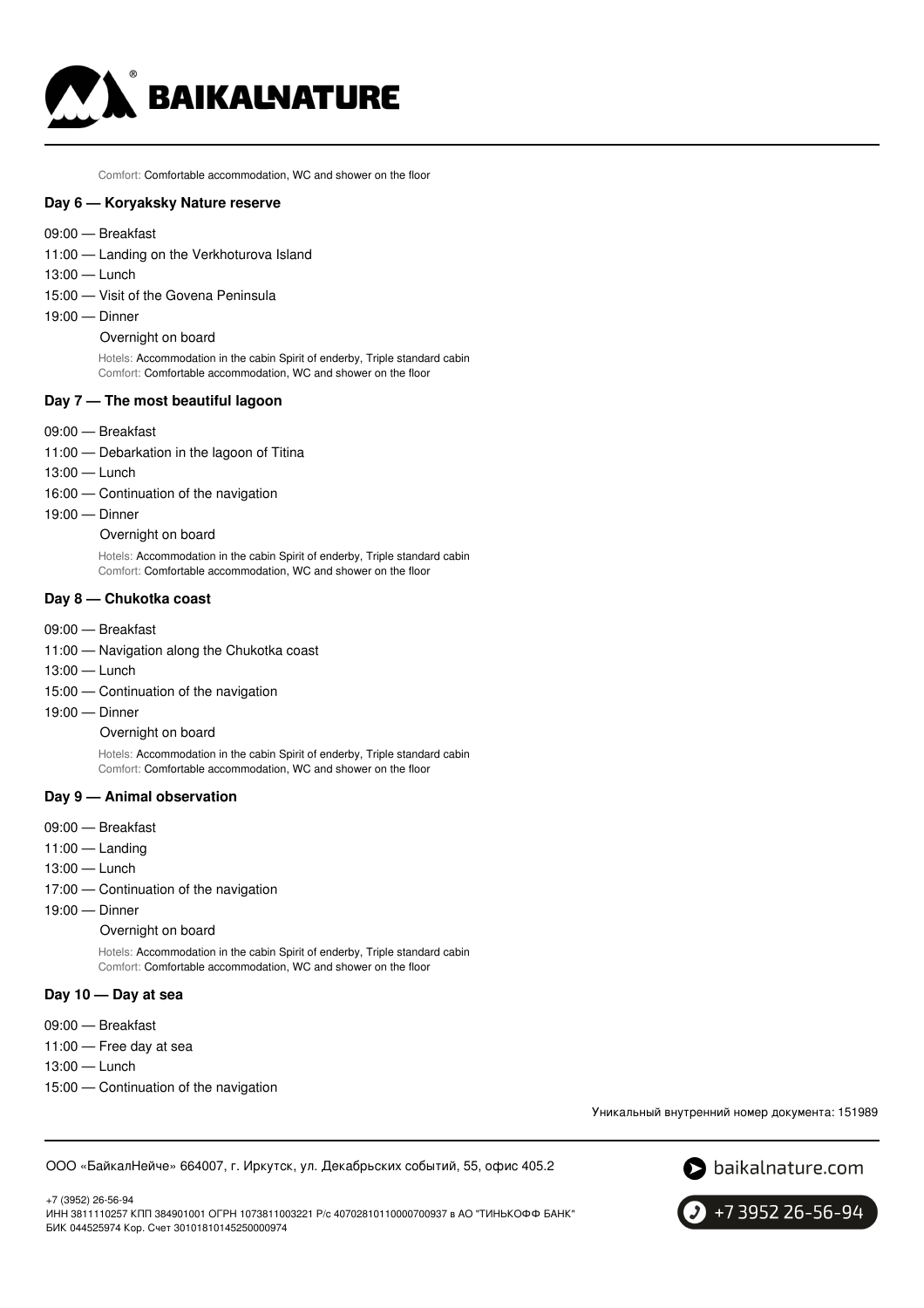

Comfort: Comfortable accommodation, WC and shower on the floor

#### **Day 6 — Koryaksky Nature reserve**

- 09:00 Breakfast
- 11:00 Landing on the Verkhoturova Island
- 13:00 Lunch
- 15:00 Visit of the Govena Peninsula
- 19:00 Dinner

#### Overnight on board

Hotels: Accommodation in the cabin Spirit of enderby, Triple standard cabin Comfort: Comfortable accommodation, WC and shower on the floor

### **Day 7 — The most beautiful lagoon**

- 09:00 Breakfast
- 11:00 Debarkation in the lagoon of Titina
- 13:00 Lunch
- 16:00 Continuation of the navigation
- 19:00 Dinner

Overnight on board

Hotels: Accommodation in the cabin Spirit of enderby, Triple standard cabin Comfort: Comfortable accommodation, WC and shower on the floor

#### **Day 8 — Chukotka coast**

- 09:00 Breakfast
- 11:00 Navigation along the Chukotka coast
- 13:00 Lunch
- 15:00 Continuation of the navigation
- 19:00 Dinner

#### Overnight on board

Hotels: Accommodation in the cabin Spirit of enderby, Triple standard cabin Comfort: Comfortable accommodation, WC and shower on the floor

#### **Day 9 — Animal observation**

- 09:00 Breakfast
- 11:00 Landing
- 13:00 Lunch
- 17:00 Continuation of the navigation
- 19:00 Dinner

Overnight on board

Hotels: Accommodation in the cabin Spirit of enderby, Triple standard cabin Comfort: Comfortable accommodation, WC and shower on the floor

### **Day 10 — Day at sea**

- 09:00 Breakfast
- 11:00 Free day at sea
- 13:00 Lunch
- 15:00 Continuation of the navigation

Уникальный внутренний номер документа: 151989

ООО «БайкалНейче» 664007, г. Иркутск, ул. Декабрьских событий, 55, офис 405.2





+7 3952 26-56-94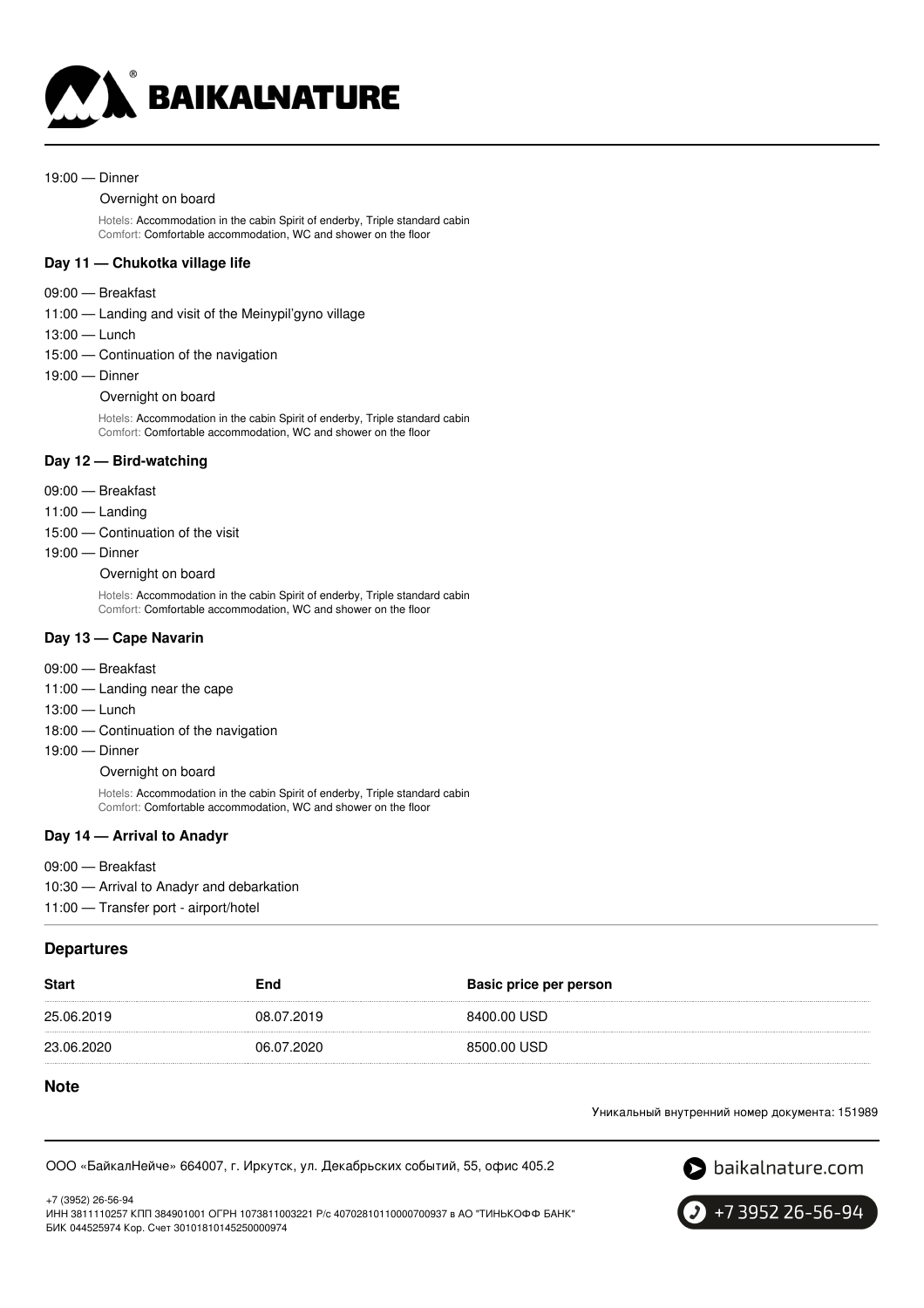

#### 19:00 — Dinner

#### Overnight on board

Hotels: Accommodation in the cabin Spirit of enderby, Triple standard cabin Comfort: Comfortable accommodation, WC and shower on the floor

### **Day 11 — Chukotka village life**

#### 09:00 — Breakfast

- 11:00 Landing and visit of the Meinypil'gyno village
- 13:00 Lunch
- 15:00 Continuation of the navigation
- 19:00 Dinner

#### Overnight on board

Hotels: Accommodation in the cabin Spirit of enderby, Triple standard cabin Comfort: Comfortable accommodation, WC and shower on the floor

#### **Day 12 — Bird-watching**

- 09:00 Breakfast
- 11:00 Landing
- 15:00 Continuation of the visit
- 19:00 Dinner

Overnight on board

Hotels: Accommodation in the cabin Spirit of enderby, Triple standard cabin Comfort: Comfortable accommodation, WC and shower on the floor

### **Day 13 — Cape Navarin**

- 09:00 Breakfast
- 11:00 Landing near the cape
- 13:00 Lunch
- 18:00 Continuation of the navigation
- 19:00 Dinner

Overnight on board

Hotels: Accommodation in the cabin Spirit of enderby, Triple standard cabin Comfort: Comfortable accommodation, WC and shower on the floor

#### **Day 14 — Arrival to Anadyr**

09:00 — Breakfast 10:30 — Arrival to Anadyr and debarkation 11:00 — Transfer port - airport/hotel

### **Departures**

| <b>Start</b> | End        | Basic price per person |
|--------------|------------|------------------------|
| 25.06.2019   | 08.07.2019 | 8400.00 USD            |
| 23.06.2020   | 06.07.2020 | 8500.00 USD            |

### **Note**

Уникальный внутренний номер документа: 151989

ООО «БайкалНейче» 664007, г. Иркутск, ул. Декабрьских событий, 55, офис 405.2



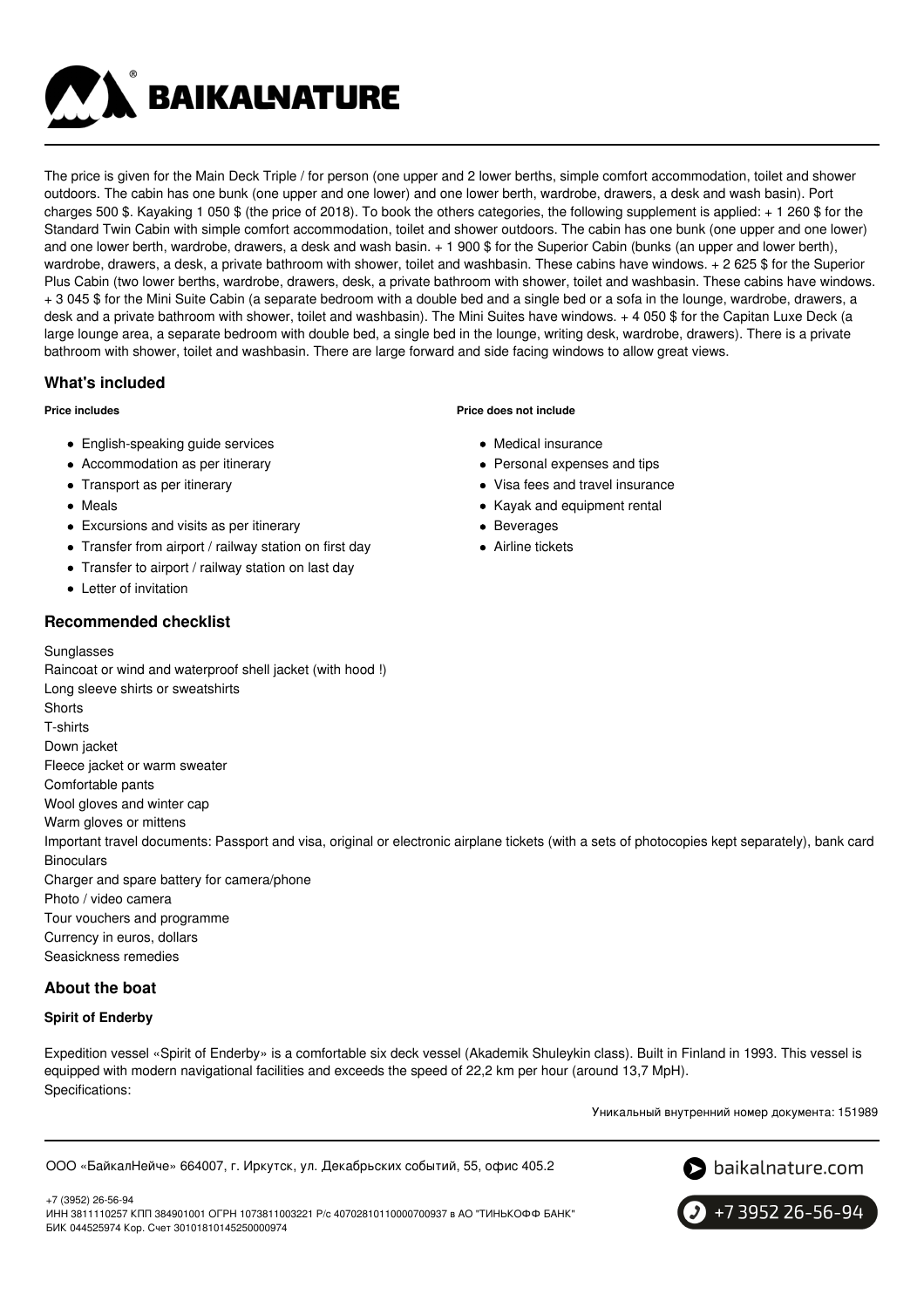**BAIKALNATURE** 

The price is given for the Main Deck Triple / for person (one upper and 2 lower berths, simple comfort accommodation, toilet and shower outdoors. The cabin has one bunk (one upper and one lower) and one lower berth, wardrobe, drawers, a desk and wash basin). Port charges 500 \$. Kayaking 1 050 \$ (the price of 2018). To book the others categories, the following supplement is applied: + 1 260 \$ for the Standard Twin Cabin with simple comfort accommodation, toilet and shower outdoors. The cabin has one bunk (one upper and one lower) and one lower berth, wardrobe, drawers, a desk and wash basin. + 1 900 \$ for the Superior Cabin (bunks (an upper and lower berth), wardrobe, drawers, a desk, a private bathroom with shower, toilet and washbasin. These cabins have windows. + 2 625 \$ for the Superior Plus Cabin (two lower berths, wardrobe, drawers, desk, a private bathroom with shower, toilet and washbasin. These cabins have windows. + 3 045 \$ for the Mini Suite Cabin (a separate bedroom with a double bed and a single bed or a sofa in the lounge, wardrobe, drawers, a desk and a private bathroom with shower, toilet and washbasin). The Mini Suites have windows. + 4 050 \$ for the Capitan Luxe Deck (a large lounge area, a separate bedroom with double bed, a single bed in the lounge, writing desk, wardrobe, drawers). There is a private bathroom with shower, toilet and washbasin. There are large forward and side facing windows to allow great views.

# **What's included**

### **Price includes**

- English-speaking guide services
- Accommodation as per itinerary
- Transport as per itinerary
- Meals
- Excursions and visits as per itinerary
- Transfer from airport / railway station on first day
- Transfer to airport / railway station on last day
- Letter of invitation

# **Recommended checklist**

**Sunglasses** 

**Price does not include**

- Medical insurance
- Personal expenses and tips
- Visa fees and travel insurance
- Kayak and equipment rental
- Beverages
- Airline tickets

Raincoat or wind and waterproof shell jacket (with hood !) Long sleeve shirts or sweatshirts **Shorts** T-shirts Down jacket Fleece jacket or warm sweater Comfortable pants Wool gloves and winter cap Warm gloves or mittens Important travel documents: Passport and visa, original or electronic airplane tickets (with a sets of photocopies kept separately), bank card **Binoculars** Charger and spare battery for camera/phone Photo / video camera Tour vouchers and programme Currency in euros, dollars Seasickness remedies

# **About the boat**

### **Spirit of Enderby**

Expedition vessel «Spirit of Enderby» is a comfortable six deck vessel (Akademik Shuleykin class). Built in Finland in 1993. This vessel is equipped with modern navigational facilities and exceeds the speed of 22,2 km per hour (around 13,7 MpH). Specifications:

Уникальный внутренний номер документа: 151989

ООО «БайкалНейче» 664007, г. Иркутск, ул. Декабрьских событий, 55, офис 405.2



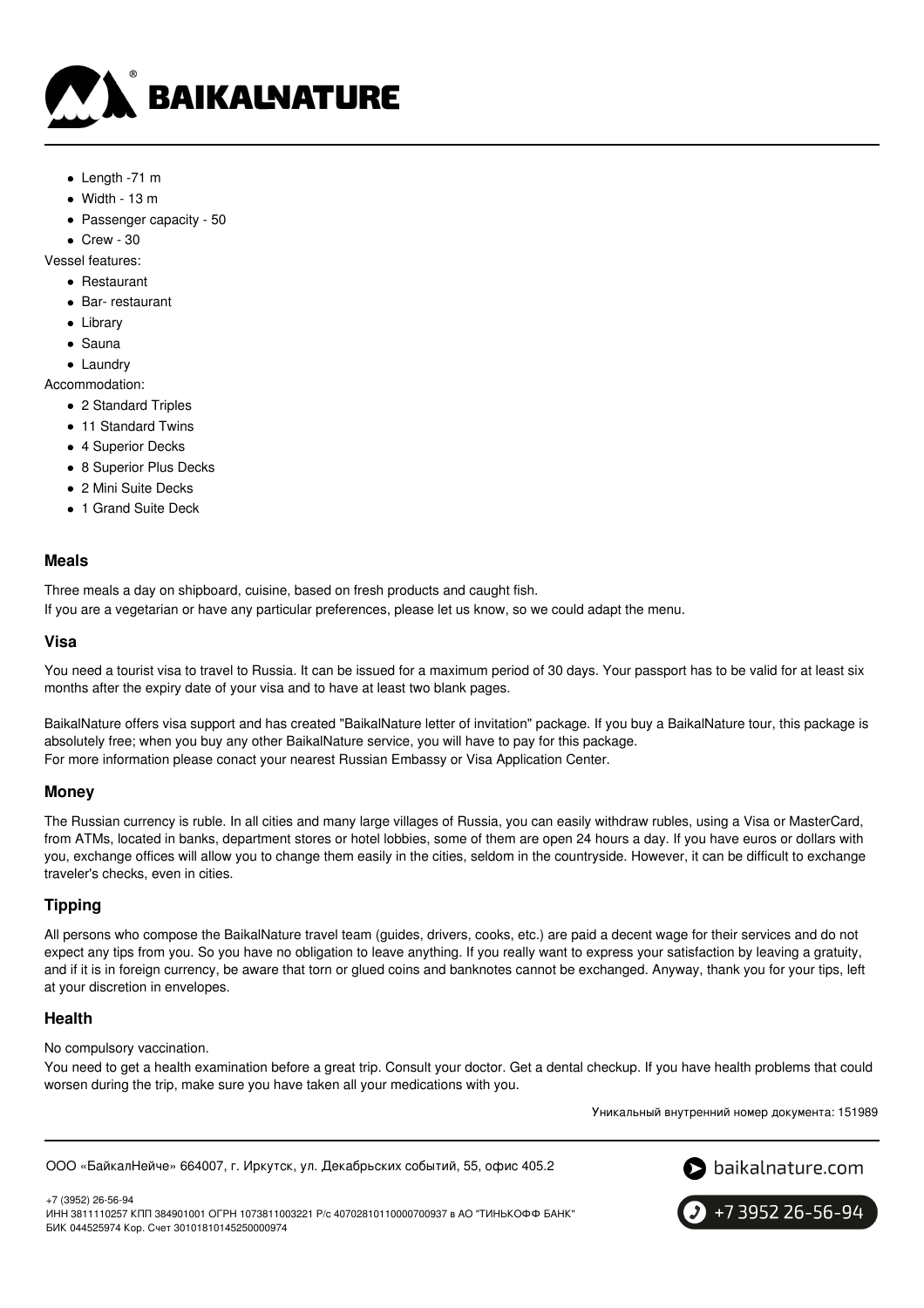

- Length -71 m
- $\bullet$  Width 13 m
- Passenger capacity 50

 $\bullet$  Crew - 30

Vessel features:

- Restaurant
- Bar- restaurant
- Library
- Sauna
- Laundry

Accommodation:

- 2 Standard Triples
- 11 Standard Twins
- 4 Superior Decks
- 8 Superior Plus Decks
- 2 Mini Suite Decks
- 1 Grand Suite Deck

### **Meals**

Three meals a day on shipboard, cuisine, based on fresh products and caught fish.

If you are a vegetarian or have any particular preferences, please let us know, so we could adapt the menu.

### **Visa**

You need a tourist visa to travel to Russia. It can be issued for a maximum period of 30 days. Your passport has to be valid for at least six months after the expiry date of your visa and to have at least two blank pages.

BaikalNature offers visa support and has created "BaikalNature letter of invitation" package. If you buy a BaikalNature tour, this package is absolutely free; when you buy any other BaikalNature service, you will have to pay for this package. For more information please conact your nearest Russian Embassy or Visa Application Center.

### **Money**

The Russian currency is ruble. In all cities and many large villages of Russia, you can easily withdraw rubles, using a Visa or MasterCard, from ATMs, located in banks, department stores or hotel lobbies, some of them are open 24 hours a day. If you have euros or dollars with you, exchange offices will allow you to change them easily in the cities, seldom in the countryside. However, it can be difficult to exchange traveler's checks, even in cities.

# **Tipping**

All persons who compose the BaikalNature travel team (guides, drivers, cooks, etc.) are paid a decent wage for their services and do not expect any tips from you. So you have no obligation to leave anything. If you really want to express your satisfaction by leaving a gratuity, and if it is in foreign currency, be aware that torn or glued coins and banknotes cannot be exchanged. Anyway, thank you for your tips, left at your discretion in envelopes.

### **Health**

No compulsory vaccination.

You need to get a health examination before a great trip. Consult your doctor. Get a dental checkup. If you have health problems that could worsen during the trip, make sure you have taken all your medications with you.

Уникальный внутренний номер документа: 151989

ООО «БайкалНейче» 664007, г. Иркутск, ул. Декабрьских событий, 55, офис 405.2